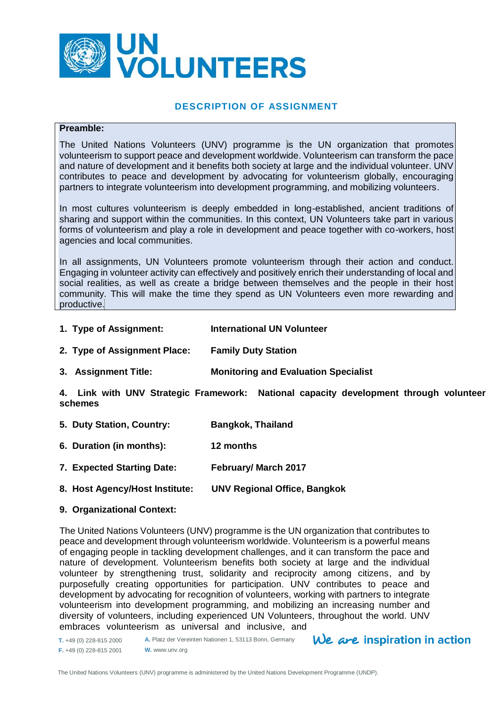

# **DESCRIPTION OF ASSIGNMENT**

#### **Preamble:**

The United Nations Volunteers (UNV) programme is the UN organization that promotes volunteerism to support peace and development worldwide. Volunteerism can transform the pace and nature of development and it benefits both society at large and the individual volunteer. UNV contributes to peace and development by advocating for volunteerism globally, encouraging partners to integrate volunteerism into development programming, and mobilizing volunteers.

In most cultures volunteerism is deeply embedded in long-established, ancient traditions of sharing and support within the communities. In this context, UN Volunteers take part in various forms of volunteerism and play a role in development and peace together with co-workers, host agencies and local communities.

In all assignments, UN Volunteers promote volunteerism through their action and conduct. Engaging in volunteer activity can effectively and positively enrich their understanding of local and social realities, as well as create a bridge between themselves and the people in their host community. This will make the time they spend as UN Volunteers even more rewarding and productive.

- **1. Type of Assignment: International UN Volunteer**
- **2. Type of Assignment Place: Family Duty Station**
- **3. Assignment Title: Monitoring and Evaluation Specialist**

**4. Link with UNV Strategic Framework: National capacity development through volunteer schemes**

- **5. Duty Station, Country: Bangkok, Thailand**
- **6. Duration (in months): 12 months**
- **7. Expected Starting Date: February/ March 2017**
- **8. Host Agency/Host Institute: UNV Regional Office, Bangkok**

#### **9. Organizational Context:**

The United Nations Volunteers (UNV) programme is the UN organization that contributes to peace and development through volunteerism worldwide. Volunteerism is a powerful means of engaging people in tackling development challenges, and it can transform the pace and nature of development. Volunteerism benefits both society at large and the individual volunteer by strengthening trust, solidarity and reciprocity among citizens, and by purposefully creating opportunities for participation. UNV contributes to peace and development by advocating for recognition of volunteers, working with partners to integrate volunteerism into development programming, and mobilizing an increasing number and diversity of volunteers, including experienced UN Volunteers, throughout the world. UNV embraces volunteerism as universal and inclusive, and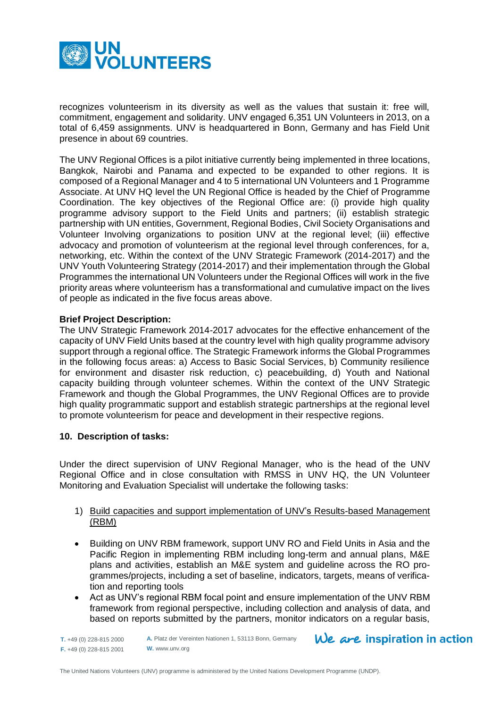

recognizes volunteerism in its diversity as well as the values that sustain it: free will, commitment, engagement and solidarity. UNV engaged 6,351 UN Volunteers in 2013, on a total of 6,459 assignments. UNV is headquartered in Bonn, Germany and has Field Unit presence in about 69 countries.

The UNV Regional Offices is a pilot initiative currently being implemented in three locations, Bangkok, Nairobi and Panama and expected to be expanded to other regions. It is composed of a Regional Manager and 4 to 5 international UN Volunteers and 1 Programme Associate. At UNV HQ level the UN Regional Office is headed by the Chief of Programme Coordination. The key objectives of the Regional Office are: (i) provide high quality programme advisory support to the Field Units and partners; (ii) establish strategic partnership with UN entities, Government, Regional Bodies, Civil Society Organisations and Volunteer Involving organizations to position UNV at the regional level; (iii) effective advocacy and promotion of volunteerism at the regional level through conferences, for a, networking, etc. Within the context of the UNV Strategic Framework (2014-2017) and the UNV Youth Volunteering Strategy (2014-2017) and their implementation through the Global Programmes the international UN Volunteers under the Regional Offices will work in the five priority areas where volunteerism has a transformational and cumulative impact on the lives of people as indicated in the five focus areas above.

#### **Brief Project Description:**

The UNV Strategic Framework 2014-2017 advocates for the effective enhancement of the capacity of UNV Field Units based at the country level with high quality programme advisory support through a regional office. The Strategic Framework informs the Global Programmes in the following focus areas: a) Access to Basic Social Services, b) Community resilience for environment and disaster risk reduction, c) peacebuilding, d) Youth and National capacity building through volunteer schemes. Within the context of the UNV Strategic Framework and though the Global Programmes, the UNV Regional Offices are to provide high quality programmatic support and establish strategic partnerships at the regional level to promote volunteerism for peace and development in their respective regions.

#### **10. Description of tasks:**

Under the direct supervision of UNV Regional Manager, who is the head of the UNV Regional Office and in close consultation with RMSS in UNV HQ, the UN Volunteer Monitoring and Evaluation Specialist will undertake the following tasks:

### 1) Build capacities and support implementation of UNV's Results-based Management (RBM)

- Building on UNV RBM framework, support UNV RO and Field Units in Asia and the Pacific Region in implementing RBM including long-term and annual plans, M&E plans and activities, establish an M&E system and guideline across the RO programmes/projects, including a set of baseline, indicators, targets, means of verification and reporting tools
- Act as UNV's regional RBM focal point and ensure implementation of the UNV RBM framework from regional perspective, including collection and analysis of data, and based on reports submitted by the partners, monitor indicators on a regular basis,

**T.** +49 (0) 228-815 2000 **F.** +49 (0) 228-815 2001

**A.** Platz der Vereinten Nationen 1, 53113 Bonn, Germany **W.** www.unv.org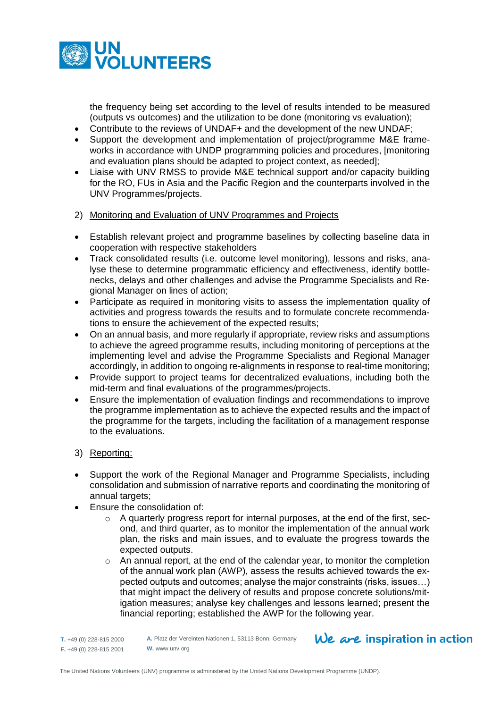

the frequency being set according to the level of results intended to be measured (outputs vs outcomes) and the utilization to be done (monitoring vs evaluation);

- Contribute to the reviews of UNDAF+ and the development of the new UNDAF;
- Support the development and implementation of project/programme M&E frameworks in accordance with UNDP programming policies and procedures, [monitoring and evaluation plans should be adapted to project context, as needed];
- Liaise with UNV RMSS to provide M&E technical support and/or capacity building for the RO, FUs in Asia and the Pacific Region and the counterparts involved in the UNV Programmes/projects.
- 2) Monitoring and Evaluation of UNV Programmes and Projects
- Establish relevant project and programme baselines by collecting baseline data in cooperation with respective stakeholders
- Track consolidated results (i.e. outcome level monitoring), lessons and risks, analyse these to determine programmatic efficiency and effectiveness, identify bottlenecks, delays and other challenges and advise the Programme Specialists and Regional Manager on lines of action;
- Participate as required in monitoring visits to assess the implementation quality of activities and progress towards the results and to formulate concrete recommendations to ensure the achievement of the expected results;
- On an annual basis, and more regularly if appropriate, review risks and assumptions to achieve the agreed programme results, including monitoring of perceptions at the implementing level and advise the Programme Specialists and Regional Manager accordingly, in addition to ongoing re-alignments in response to real-time monitoring;
- Provide support to project teams for decentralized evaluations, including both the mid-term and final evaluations of the programmes/projects.
- Ensure the implementation of evaluation findings and recommendations to improve the programme implementation as to achieve the expected results and the impact of the programme for the targets, including the facilitation of a management response to the evaluations.
- 3) Reporting:
- Support the work of the Regional Manager and Programme Specialists, including consolidation and submission of narrative reports and coordinating the monitoring of annual targets;
- Ensure the consolidation of:
	- $\circ$  A quarterly progress report for internal purposes, at the end of the first, second, and third quarter, as to monitor the implementation of the annual work plan, the risks and main issues, and to evaluate the progress towards the expected outputs.
	- o An annual report, at the end of the calendar year, to monitor the completion of the annual work plan (AWP), assess the results achieved towards the expected outputs and outcomes; analyse the major constraints (risks, issues…) that might impact the delivery of results and propose concrete solutions/mitigation measures; analyse key challenges and lessons learned; present the financial reporting; established the AWP for the following year.

**A.** Platz der Vereinten Nationen 1, 53113 Bonn, Germany **W.** www.unv.org

**T.** +49 (0) 228-815 2000 **F.** +49 (0) 228-815 2001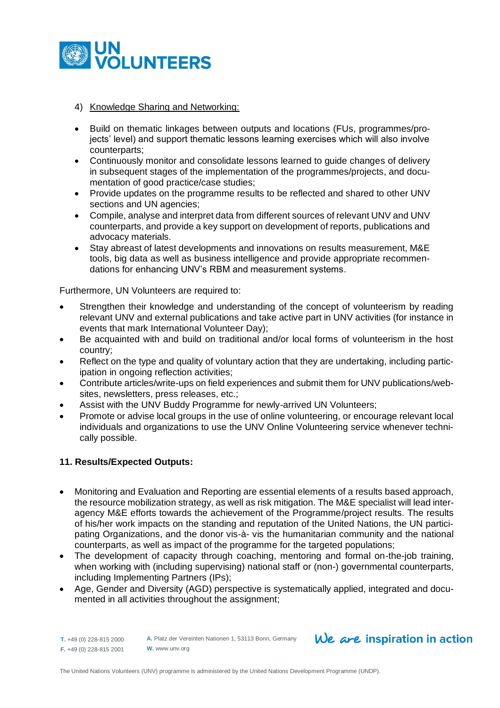

# 4) Knowledge Sharing and Networking:

- Build on thematic linkages between outputs and locations (FUs, programmes/projects' level) and support thematic lessons learning exercises which will also involve counterparts;
- Continuously monitor and consolidate lessons learned to guide changes of delivery in subsequent stages of the implementation of the programmes/projects, and documentation of good practice/case studies;
- Provide updates on the programme results to be reflected and shared to other UNV sections and UN agencies;
- Compile, analyse and interpret data from different sources of relevant UNV and UNV counterparts, and provide a key support on development of reports, publications and advocacy materials.
- Stay abreast of latest developments and innovations on results measurement, M&E tools, big data as well as business intelligence and provide appropriate recommendations for enhancing UNV's RBM and measurement systems.

Furthermore, UN Volunteers are required to:

- Strengthen their knowledge and understanding of the concept of volunteerism by reading relevant UNV and external publications and take active part in UNV activities (for instance in events that mark International Volunteer Day);
- Be acquainted with and build on traditional and/or local forms of volunteerism in the host country;
- Reflect on the type and quality of voluntary action that they are undertaking, including participation in ongoing reflection activities;
- Contribute articles/write-ups on field experiences and submit them for UNV publications/websites, newsletters, press releases, etc.;
- Assist with the UNV Buddy Programme for newly-arrived UN Volunteers;
- Promote or advise local groups in the use of online volunteering, or encourage relevant local individuals and organizations to use the UNV Online Volunteering service whenever technically possible.

# **11. Results/Expected Outputs:**

- Monitoring and Evaluation and Reporting are essential elements of a results based approach, the resource mobilization strategy, as well as risk mitigation. The M&E specialist will lead interagency M&E efforts towards the achievement of the Programme/project results. The results of his/her work impacts on the standing and reputation of the United Nations, the UN participating Organizations, and the donor vis-à- vis the humanitarian community and the national counterparts, as well as impact of the programme for the targeted populations;
- The development of capacity through coaching, mentoring and formal on-the-job training, when working with (including supervising) national staff or (non-) governmental counterparts, including Implementing Partners (IPs);
- Age, Gender and Diversity (AGD) perspective is systematically applied, integrated and documented in all activities throughout the assignment;

**T.** +49 (0) 228-815 2000 **F.** +49 (0) 228-815 2001 **W.** www.unv.org

**A.** Platz der Vereinten Nationen 1, 53113 Bonn, Germany

# $We$  are inspiration in action

The United Nations Volunteers (UNV) programme is administered by the United Nations Development Programme (UNDP).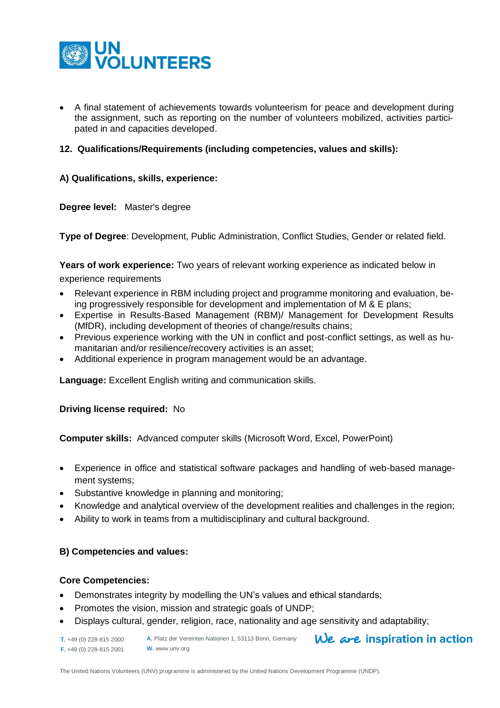

 A final statement of achievements towards volunteerism for peace and development during the assignment, such as reporting on the number of volunteers mobilized, activities participated in and capacities developed.

# **12. Qualifications/Requirements (including competencies, values and skills):**

#### **A) Qualifications, skills, experience:**

#### **Degree level:** Master's degree

**Type of Degree**: Development, Public Administration, Conflict Studies, Gender or related field.

**Years of work experience:** Two years of relevant working experience as indicated below in

experience requirements

- Relevant experience in RBM including project and programme monitoring and evaluation, being progressively responsible for development and implementation of M & E plans;
- Expertise in Results-Based Management (RBM)/ Management for Development Results (MfDR), including development of theories of change/results chains;
- Previous experience working with the UN in conflict and post-conflict settings, as well as humanitarian and/or resilience/recovery activities is an asset;
- Additional experience in program management would be an advantage.

**Language:** Excellent English writing and communication skills.

**Driving license required:** No

**Computer skills:** Advanced computer skills (Microsoft Word, Excel, PowerPoint)

- Experience in office and statistical software packages and handling of web-based management systems;
- Substantive knowledge in planning and monitoring;
- Knowledge and analytical overview of the development realities and challenges in the region;
- Ability to work in teams from a multidisciplinary and cultural background.

# **B) Competencies and values:**

#### **Core Competencies:**

- Demonstrates integrity by modelling the UN's values and ethical standards;
- Promotes the vision, mission and strategic goals of UNDP;
- Displays cultural, gender, religion, race, nationality and age sensitivity and adaptability;

| <b>T.</b> +49 (0) 228-815 2000 | A. Platz der Vereinten Nationen 1, 53113 Bonn, Germany | We are inspiration in action |
|--------------------------------|--------------------------------------------------------|------------------------------|
| $F. +49(0)$ 228-815 2001       | W. www.unv.org                                         |                              |

The United Nations Volunteers (UNV) programme is administered by the United Nations Development Programme (UNDP).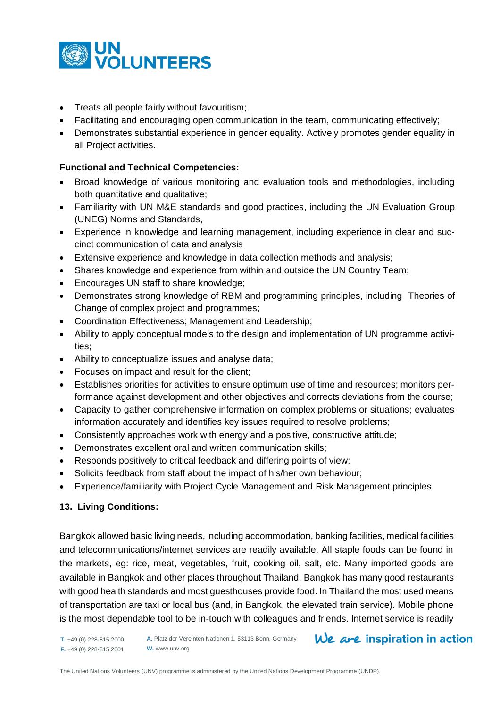

- Treats all people fairly without favouritism;
- Facilitating and encouraging open communication in the team, communicating effectively;
- Demonstrates substantial experience in gender equality. Actively promotes gender equality in all Project activities.

# **Functional and Technical Competencies:**

- Broad knowledge of various monitoring and evaluation tools and methodologies, including both quantitative and qualitative;
- Familiarity with UN M&E standards and good practices, including the UN Evaluation Group (UNEG) Norms and Standards,
- Experience in knowledge and learning management, including experience in clear and succinct communication of data and analysis
- Extensive experience and knowledge in data collection methods and analysis;
- Shares knowledge and experience from within and outside the UN Country Team;
- Encourages UN staff to share knowledge;
- Demonstrates strong knowledge of RBM and programming principles, including Theories of Change of complex project and programmes;
- Coordination Effectiveness; Management and Leadership;
- Ability to apply conceptual models to the design and implementation of UN programme activities;
- Ability to conceptualize issues and analyse data;
- Focuses on impact and result for the client;
- Establishes priorities for activities to ensure optimum use of time and resources; monitors performance against development and other objectives and corrects deviations from the course;
- Capacity to gather comprehensive information on complex problems or situations; evaluates information accurately and identifies key issues required to resolve problems;
- Consistently approaches work with energy and a positive, constructive attitude;
- Demonstrates excellent oral and written communication skills;
- Responds positively to critical feedback and differing points of view;
- Solicits feedback from staff about the impact of his/her own behaviour;
- Experience/familiarity with Project Cycle Management and Risk Management principles.

# **13. Living Conditions:**

Bangkok allowed basic living needs, including accommodation, banking facilities, medical facilities and telecommunications/internet services are readily available. All staple foods can be found in the markets, eg: rice, meat, vegetables, fruit, cooking oil, salt, etc. Many imported goods are available in Bangkok and other places throughout Thailand. Bangkok has many good restaurants with good health standards and most guesthouses provide food. In Thailand the most used means of transportation are taxi or local bus (and, in Bangkok, the elevated train service). Mobile phone is the most dependable tool to be in-touch with colleagues and friends. Internet service is readily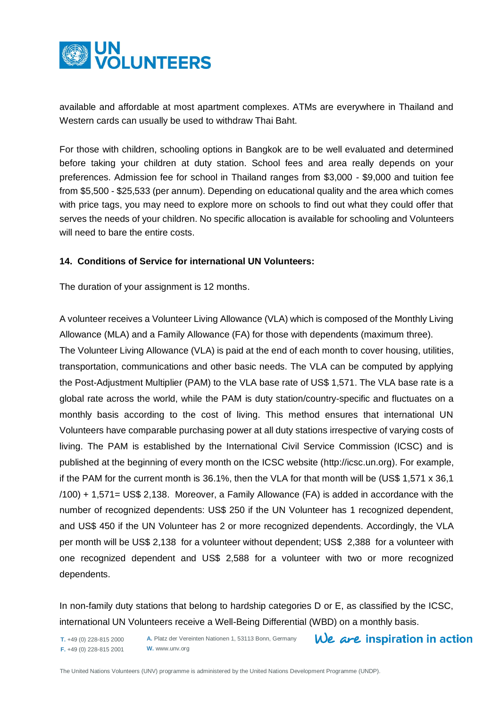

available and affordable at most apartment complexes. ATMs are everywhere in Thailand and Western cards can usually be used to withdraw Thai Baht.

For those with children, schooling options in Bangkok are to be well evaluated and determined before taking your children at duty station. School fees and area really depends on your preferences. Admission fee for school in Thailand ranges from \$3,000 - \$9,000 and tuition fee from \$5,500 - \$25,533 (per annum). Depending on educational quality and the area which comes with price tags, you may need to explore more on schools to find out what they could offer that serves the needs of your children. No specific allocation is available for schooling and Volunteers will need to bare the entire costs.

# **14. Conditions of Service for international UN Volunteers:**

The duration of your assignment is 12 months.

A volunteer receives a Volunteer Living Allowance (VLA) which is composed of the Monthly Living Allowance (MLA) and a Family Allowance (FA) for those with dependents (maximum three).

The Volunteer Living Allowance (VLA) is paid at the end of each month to cover housing, utilities, transportation, communications and other basic needs. The VLA can be computed by applying the Post-Adjustment Multiplier (PAM) to the VLA base rate of US\$ 1,571. The VLA base rate is a global rate across the world, while the PAM is duty station/country-specific and fluctuates on a monthly basis according to the cost of living. This method ensures that international UN Volunteers have comparable purchasing power at all duty stations irrespective of varying costs of living. The PAM is established by the International Civil Service Commission (ICSC) and is published at the beginning of every month on the ICSC website [\(http://icsc.un.org\)](http://icsc.un.org/). For example, if the PAM for the current month is 36.1%, then the VLA for that month will be (US\$ 1,571 x 36,1 /100) + 1,571= US\$ 2,138. Moreover, a Family Allowance (FA) is added in accordance with the number of recognized dependents: US\$ 250 if the UN Volunteer has 1 recognized dependent, and US\$ 450 if the UN Volunteer has 2 or more recognized dependents. Accordingly, the VLA per month will be US\$ 2,138 for a volunteer without dependent; US\$ 2,388 for a volunteer with one recognized dependent and US\$ 2,588 for a volunteer with two or more recognized dependents.

In non-family duty stations that belong to hardship categories D or E, as classified by the ICSC, international UN Volunteers receive a Well-Being Differential (WBD) on a monthly basis.

**T.** +49 (0) 228-815 2000 **F.** +49 (0) 228-815 2001

**A.** Platz der Vereinten Nationen 1, 53113 Bonn, Germany **W.** www.unv.org